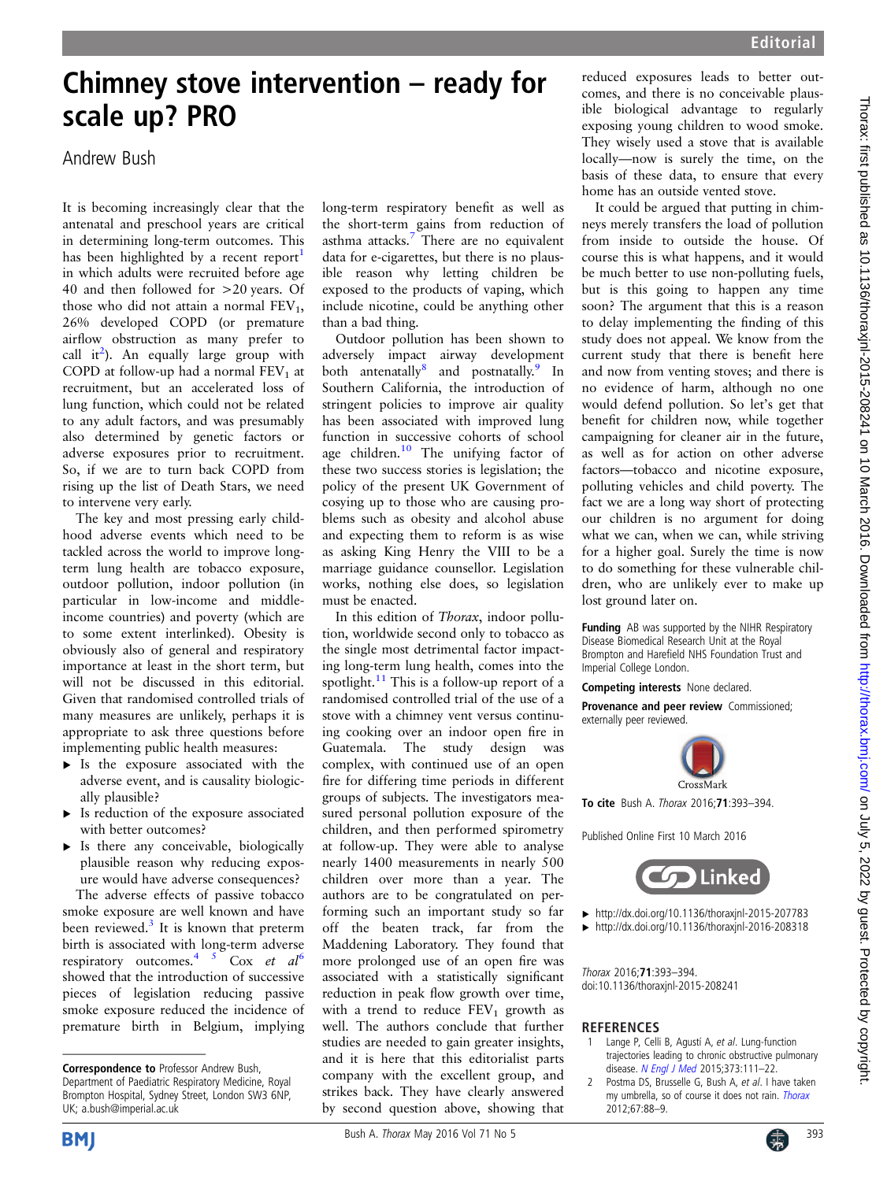## Chimney stove intervention – ready for scale up? PRO

## Andrew Bush

It is becoming increasingly clear that the antenatal and preschool years are critical in determining long-term outcomes. This has been highlighted by a recent report<sup>1</sup> in which adults were recruited before age 40 and then followed for >20 years. Of those who did not attain a normal  $FEV<sub>1</sub>$ , 26% developed COPD (or premature airflow obstruction as many prefer to call it<sup>2</sup>). An equally large group with COPD at follow-up had a normal  $FEV<sub>1</sub>$  at recruitment, but an accelerated loss of lung function, which could not be related to any adult factors, and was presumably also determined by genetic factors or adverse exposures prior to recruitment. So, if we are to turn back COPD from rising up the list of Death Stars, we need to intervene very early.

The key and most pressing early childhood adverse events which need to be tackled across the world to improve longterm lung health are tobacco exposure, outdoor pollution, indoor pollution (in particular in low-income and middleincome countries) and poverty (which are to some extent interlinked). Obesity is obviously also of general and respiratory importance at least in the short term, but will not be discussed in this editorial. Given that randomised controlled trials of many measures are unlikely, perhaps it is appropriate to ask three questions before implementing public health measures:

- ▸ Is the exposure associated with the adverse event, and is causality biologically plausible?
- ▸ Is reduction of the exposure associated with better outcomes?
- ▸ Is there any conceivable, biologically plausible reason why reducing exposure would have adverse consequences?

The adverse effects of passive tobacco smoke exposure are well known and have been reviewed.<sup>[3](#page-1-0)</sup> It is known that preterm birth is associated with long-term adverse respiratory outcomes.<sup>4</sup> <sup>5</sup> Cox *et al*<sup>[6](#page-1-0)</sup> showed that the introduction of successive pieces of legislation reducing passive smoke exposure reduced the incidence of premature birth in Belgium, implying long-term respiratory benefit as well as the short-term gains from reduction of asthma attacks[.7](#page-1-0) There are no equivalent data for e-cigarettes, but there is no plausible reason why letting children be exposed to the products of vaping, which include nicotine, could be anything other than a bad thing.

Outdoor pollution has been shown to adversely impact airway development both antenatally $^8$  and postnatally.<sup>[9](#page-1-0)</sup> In Southern California, the introduction of stringent policies to improve air quality has been associated with improved lung function in successive cohorts of school age children. $10$  The unifying factor of these two success stories is legislation; the policy of the present UK Government of cosying up to those who are causing problems such as obesity and alcohol abuse and expecting them to reform is as wise as asking King Henry the VIII to be a marriage guidance counsellor. Legislation works, nothing else does, so legislation must be enacted.

In this edition of Thorax, indoor pollution, worldwide second only to tobacco as the single most detrimental factor impacting long-term lung health, comes into the spotlight. $11$  This is a follow-up report of a randomised controlled trial of the use of a stove with a chimney vent versus continuing cooking over an indoor open fire in Guatemala. The study design was complex, with continued use of an open fire for differing time periods in different groups of subjects. The investigators measured personal pollution exposure of the children, and then performed spirometry at follow-up. They were able to analyse nearly 1400 measurements in nearly 500 children over more than a year. The authors are to be congratulated on performing such an important study so far off the beaten track, far from the Maddening Laboratory. They found that more prolonged use of an open fire was associated with a statistically significant reduction in peak flow growth over time, with a trend to reduce  $FEV_1$  growth as well. The authors conclude that further studies are needed to gain greater insights, and it is here that this editorialist parts company with the excellent group, and strikes back. They have clearly answered by second question above, showing that

reduced exposures leads to better outcomes, and there is no conceivable plausible biological advantage to regularly exposing young children to wood smoke. They wisely used a stove that is available locally—now is surely the time, on the basis of these data, to ensure that every home has an outside vented stove.

It could be argued that putting in chimneys merely transfers the load of pollution from inside to outside the house. Of course this is what happens, and it would be much better to use non-polluting fuels, but is this going to happen any time soon? The argument that this is a reason to delay implementing the finding of this study does not appeal. We know from the current study that there is benefit here and now from venting stoves; and there is no evidence of harm, although no one would defend pollution. So let's get that benefit for children now, while together campaigning for cleaner air in the future, as well as for action on other adverse factors—tobacco and nicotine exposure, polluting vehicles and child poverty. The fact we are a long way short of protecting our children is no argument for doing what we can, when we can, while striving for a higher goal. Surely the time is now to do something for these vulnerable children, who are unlikely ever to make up lost ground later on.

Funding AB was supported by the NIHR Respiratory Disease Biomedical Research Unit at the Royal Brompton and Harefield NHS Foundation Trust and Imperial College London.

Competing interests None declared.

Provenance and peer review Commissioned; externally peer reviewed.



To cite Bush A. Thorax 2016;71:393–394.

Published Online First 10 March 2016



▸ <http://dx.doi.org/10.1136/thoraxjnl-2015-207783> ▸ <http://dx.doi.org/10.1136/thoraxjnl-2016-208318>

Thorax 2016;71:393–394. doi:10.1136/thoraxjnl-2015-208241

## **REFERENCES**

- 1 Lange P, Celli B, Agustí A, et al. Lung-function trajectories leading to chronic obstructive pulmonary disease. [N Engl J Med](http://dx.doi.org/10.1056/NEJMoa1411532) 2015;373:111–22.
- 2 Postma DS, Brusselle G, Bush A, et al. I have taken my umbrella, so of course it does not rain. [Thorax](http://dx.doi.org/10.1136/thoraxjnl-2011-200758) 2012;67:88–9.





Correspondence to Professor Andrew Bush, Department of Paediatric Respiratory Medicine, Royal Brompton Hospital, Sydney Street, London SW3 6NP, UK; a.bush@imperial.ac.uk